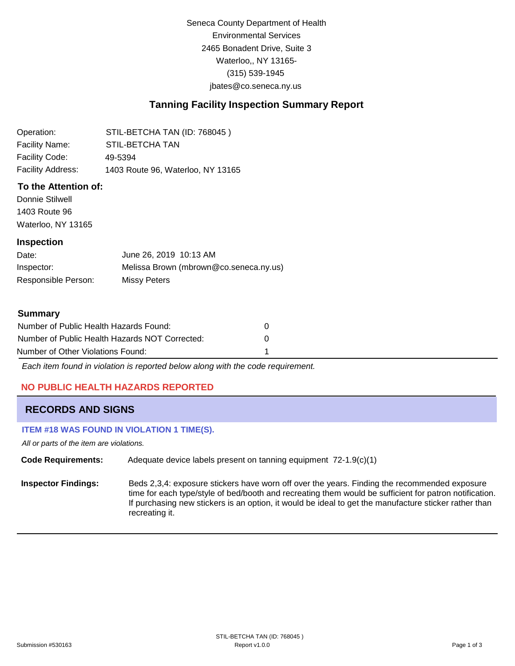Seneca County Department of Health Environmental Services 2465 Bonadent Drive, Suite 3 Waterloo,, NY 13165- (315) 539-1945 [jbates@co.seneca.ny.us](mailto:jbates@co.seneca.ny.us)

# **Tanning Facility Inspection Summary Report**

| Operation:        | STIL-BETCHA TAN (ID: 768045)      |
|-------------------|-----------------------------------|
| Facility Name:    | <b>STIL-BETCHA TAN</b>            |
| Facility Code:    | 49-5394                           |
| Facility Address: | 1403 Route 96, Waterloo, NY 13165 |

## **To the Attention of:**

Donnie Stilwell 1403 Route 96 Waterloo, NY 13165

### **Inspection**

| Date:               | June 26, 2019 10:13 AM                 |
|---------------------|----------------------------------------|
| Inspector:          | Melissa Brown (mbrown@co.seneca.ny.us) |
| Responsible Person: | Missy Peters                           |

#### **Summary**

| Number of Public Health Hazards Found:         |   |
|------------------------------------------------|---|
| Number of Public Health Hazards NOT Corrected: | n |
| Number of Other Violations Found:              |   |

*Each item found in violation is reported below along with the code requirement.*

## **NO PUBLIC HEALTH HAZARDS REPORTED**

## **RECORDS AND SIGNS**

### **ITEM #18 WAS FOUND IN VIOLATION 1 TIME(S).**

*All or parts of the item are violations.*

**Code Requirements:** Adequate device labels present on tanning equipment 72-1.9(c)(1)

**Inspector Findings:** Beds 2,3,4: exposure stickers have worn off over the years. Finding the recommended exposure time for each type/style of bed/booth and recreating them would be sufficient for patron notification. If purchasing new stickers is an option, it would be ideal to get the manufacture sticker rather than recreating it.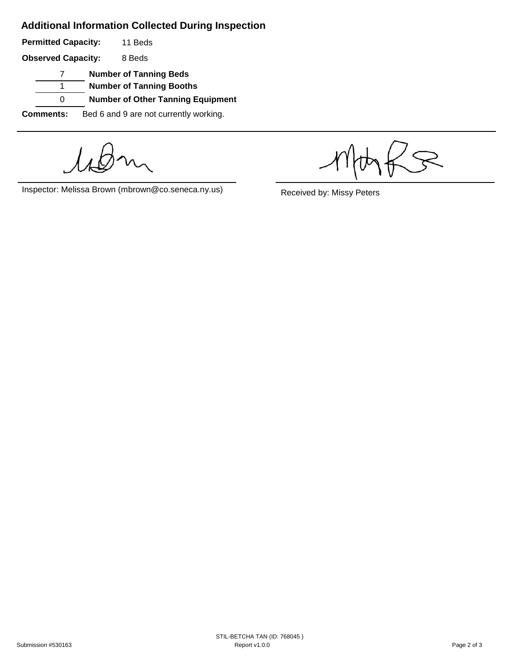# **Additional Information Collected During Inspection**

**Permitted Capacity:**  11 Beds

**Observed Capacity:** 8 Beds

7 **Number of Tanning Beds**

1 **Number of Tanning Booths**

0 **Number of Other Tanning Equipment**

**Comments:** Bed 6 and 9 are not currently working.

Inspector: Melissa Brown (mbrown@co.seneca.ny.us) Received by: Missy Peters